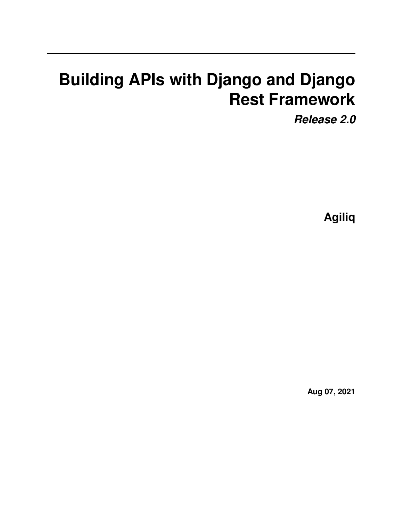# **Building APIs with Django and Django Rest Framework**

*Release 2.0*

**Agiliq**

**Aug 07, 2021**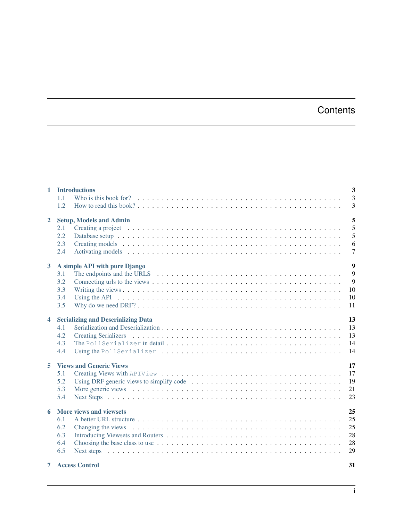# **Contents**

| $\mathbf{1}$            | <b>Introductions</b>                                                                                                                                                                                                                  | 3              |
|-------------------------|---------------------------------------------------------------------------------------------------------------------------------------------------------------------------------------------------------------------------------------|----------------|
|                         | 1.1                                                                                                                                                                                                                                   | $\overline{3}$ |
|                         | 1.2                                                                                                                                                                                                                                   | 3              |
| $\overline{2}$          | <b>Setup, Models and Admin</b>                                                                                                                                                                                                        | 5              |
|                         | 2.1                                                                                                                                                                                                                                   | 5              |
|                         | 2.2                                                                                                                                                                                                                                   | 5              |
|                         | 2.3                                                                                                                                                                                                                                   | 6              |
|                         | 2.4                                                                                                                                                                                                                                   | $\overline{7}$ |
| $\mathbf{3}$            | A simple API with pure Django                                                                                                                                                                                                         | 9              |
|                         | 3.1                                                                                                                                                                                                                                   | 9              |
|                         | 3.2                                                                                                                                                                                                                                   | 9              |
|                         | 3.3                                                                                                                                                                                                                                   | 10             |
|                         | 3.4                                                                                                                                                                                                                                   | 10             |
|                         | 3.5                                                                                                                                                                                                                                   | 11             |
| $\overline{\mathbf{4}}$ | <b>Serializing and Deserializing Data</b>                                                                                                                                                                                             | 13             |
|                         | 4.1                                                                                                                                                                                                                                   | 13             |
|                         | 4.2                                                                                                                                                                                                                                   | 13             |
|                         | 4.3                                                                                                                                                                                                                                   | 14             |
|                         | 4.4                                                                                                                                                                                                                                   | 14             |
| 5.                      | <b>Views and Generic Views</b>                                                                                                                                                                                                        | 17             |
|                         | 5.1                                                                                                                                                                                                                                   | 17             |
|                         | 5.2<br>Using DRF generic views to simplify code $\dots \dots \dots \dots \dots \dots \dots \dots \dots \dots \dots \dots$                                                                                                             | 19             |
|                         | 5.3<br>More generic views enterpretent resources in the series of the series of the series of the series of the series of the series of the series of the series of the series of the series of the series of the series of the serie | 21             |
|                         | 5.4                                                                                                                                                                                                                                   | 23             |
| 6                       | More views and viewsets                                                                                                                                                                                                               | 25             |
|                         | 6.1                                                                                                                                                                                                                                   | 25             |
|                         | 6.2<br>Changing the views entertainment of the contract of the contract of the contract of the contract of the contract of the contract of the contract of the contract of the contract of the contract of the contract of the contra | 25             |
|                         | 6.3                                                                                                                                                                                                                                   | 28             |
|                         | 6.4                                                                                                                                                                                                                                   | 28             |
|                         | 6.5                                                                                                                                                                                                                                   | 29             |
|                         | <b>7</b> Access Control                                                                                                                                                                                                               | 31             |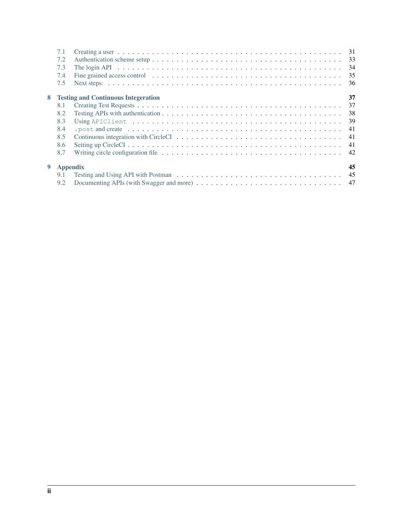|   | 7.1             |                                                                                                                         | 31 |
|---|-----------------|-------------------------------------------------------------------------------------------------------------------------|----|
|   | 7.2             |                                                                                                                         | 33 |
|   | 7.3             |                                                                                                                         | 34 |
|   | 7.4             | Fine grained access control $\dots \dots \dots \dots \dots \dots \dots \dots \dots \dots \dots \dots \dots \dots \dots$ | 35 |
|   | 7.5             |                                                                                                                         | 36 |
| 8 |                 | <b>Testing and Continuous Integeration</b>                                                                              | 37 |
|   | 8.1             |                                                                                                                         | 37 |
|   | 8.2             |                                                                                                                         | 38 |
|   | 8.3             |                                                                                                                         | 39 |
|   | 8.4             |                                                                                                                         | 41 |
|   | 8.5             |                                                                                                                         | 41 |
|   | 8.6             |                                                                                                                         | 41 |
|   | 8.7             |                                                                                                                         | 42 |
| 9 | <b>Appendix</b> |                                                                                                                         | 45 |
|   | 9.1             |                                                                                                                         |    |
|   | 9.2             |                                                                                                                         |    |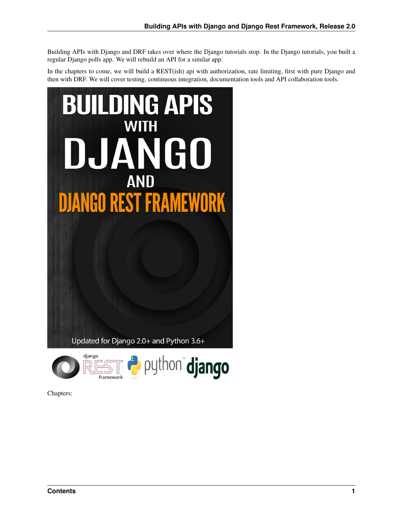Building APIs with Django and DRF takes over where the Django tutorials stop. In the Django tutorials, you built a regular Django polls app. We will rebuild an API for a similar app.

In the chapters to come, we will build a REST(ish) api with authorization, rate limiting, first with pure Django and then with DRF. We will cover testing, continuous integration, documentation tools and API collaboration tools.





Chapters: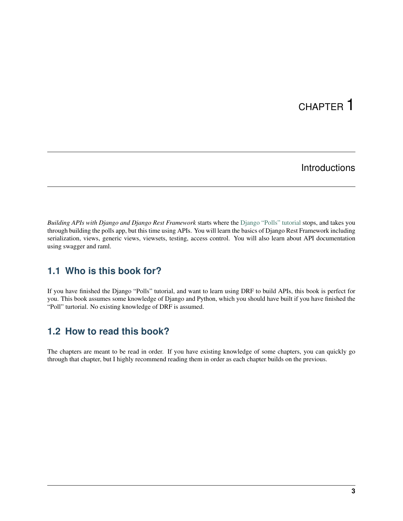# CHAPTER 1

# **Introductions**

<span id="page-6-0"></span>*Building APIs with Django and Django Rest Framework* starts where the [Django "Polls" tutorial](https://docs.djangoproject.com/en/2.0/intro/tutorial01/) stops, and takes you through building the polls app, but this time using APIs. You will learn the basics of Django Rest Framework including serialization, views, generic views, viewsets, testing, access control. You will also learn about API documentation using swagger and raml.

### <span id="page-6-1"></span>**1.1 Who is this book for?**

If you have finished the Django "Polls" tutorial, and want to learn using DRF to build APIs, this book is perfect for you. This book assumes some knowledge of Django and Python, which you should have built if you have finished the "Poll" turtorial. No existing knowledge of DRF is assumed.

## <span id="page-6-2"></span>**1.2 How to read this book?**

The chapters are meant to be read in order. If you have existing knowledge of some chapters, you can quickly go through that chapter, but I highly recommend reading them in order as each chapter builds on the previous.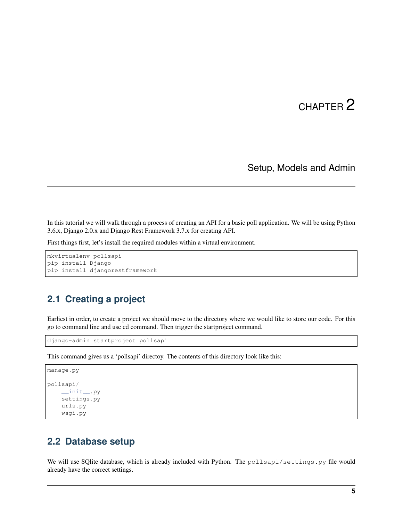# CHAPTER 2

### Setup, Models and Admin

<span id="page-8-0"></span>In this tutorial we will walk through a process of creating an API for a basic poll application. We will be using Python 3.6.x, Django 2.0.x and Django Rest Framework 3.7.x for creating API.

First things first, let's install the required modules within a virtual environment.

```
mkvirtualenv pollsapi
pip install Django
pip install djangorestframework
```
### <span id="page-8-1"></span>**2.1 Creating a project**

Earliest in order, to create a project we should move to the directory where we would like to store our code. For this go to command line and use cd command. Then trigger the startproject command.

django-admin startproject pollsapi

This command gives us a 'pollsapi' directoy. The contents of this directory look like this:

```
manage.py
pollsapi/
    __init__.py
   settings.py
   urls.py
    wsgi.py
```
#### <span id="page-8-2"></span>**2.2 Database setup**

We will use SQlite database, which is already included with Python. The pollsapi/settings.py file would already have the correct settings.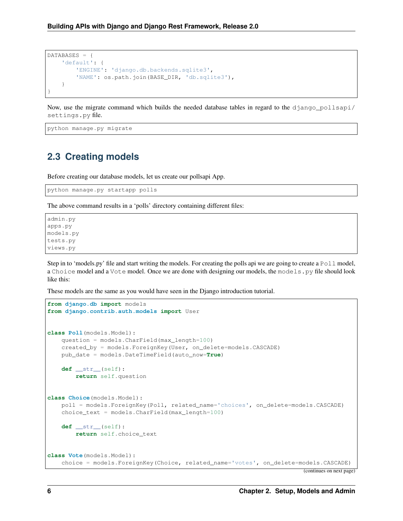```
DATABASES = {
    'default': {
        'ENGINE': 'django.db.backends.sqlite3',
        'NAME': os.path.join(BASE_DIR, 'db.sqlite3'),
    }
}
```
Now, use the migrate command which builds the needed database tables in regard to the django\_pollsapi/ settings.py file.

python manage.py migrate

### <span id="page-9-0"></span>**2.3 Creating models**

Before creating our database models, let us create our pollsapi App.

python manage.py startapp polls

The above command results in a 'polls' directory containing different files:

admin.py apps.py models.py tests.py views.py

Step in to 'models.py' file and start writing the models. For creating the polls api we are going to create a  $P \circ l \cdot l$  model, a Choice model and a Vote model. Once we are done with designing our models, the models.py file should look like this:

These models are the same as you would have seen in the Django introduction tutorial.

```
from django.db import models
from django.contrib.auth.models import User
class Poll(models.Model):
   question = models.CharField(max_length=100)
   created_by = models.ForeignKey(User, on_delete=models.CASCADE)
   pub_date = models.DateTimeField(auto_now=True)
   def __str__(self):
       return self.question
class Choice(models.Model):
   poll = models.ForeignKey(Poll, related_name='choices', on_delete=models.CASCADE)
   choice_text = models.CharField(max_length=100)
    def __str__(self):
        return self.choice_text
class Vote(models.Model):
    choice = models.ForeignKey(Choice, related_name='votes', on_delete=models.CASCADE)
```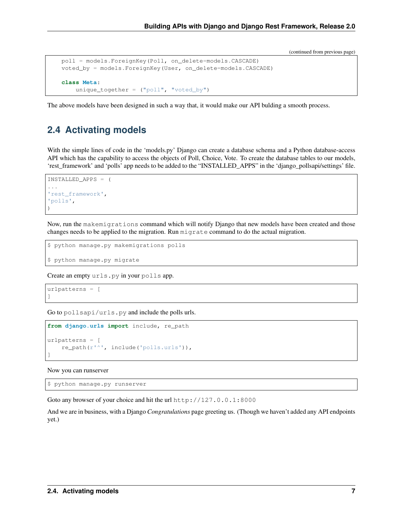```
poll = models.ForeignKey(Poll, on_delete=models.CASCADE)
voted_by = models.ForeignKey(User, on_delete=models.CASCADE)
class Meta:
    unique_together = ("poll", "voted_by")
```
The above models have been designed in such a way that, it would make our API bulding a smooth process.

### <span id="page-10-0"></span>**2.4 Activating models**

With the simple lines of code in the 'models.py' Django can create a database schema and a Python database-access API which has the capability to access the objects of Poll, Choice, Vote. To create the database tables to our models, 'rest\_framework' and 'polls' app needs to be added to the "INSTALLED\_APPS" in the 'django\_pollsapi/settings' file.

```
INSTALLED APPS = (
...
'rest_framework',
'polls',
)
```
Now, run the makemigrations command which will notify Django that new models have been created and those changes needs to be applied to the migration. Run migrate command to do the actual migration.

```
$ python manage.py makemigrations polls
```
\$ python manage.py migrate

Create an empty urls.py in your polls app.

```
urlpatterns = [
]
```
Go to pollsapi/urls.py and include the polls urls.

```
from django.urls import include, re_path
urlpatterns = [
    re_path(r'^', include('polls.urls')),
]
```
Now you can runserver

```
$ python manage.py runserver
```
Goto any browser of your choice and hit the url http://127.0.0.1:8000

And we are in business, with a Django *Congratulations* page greeting us. (Though we haven't added any API endpoints yet.)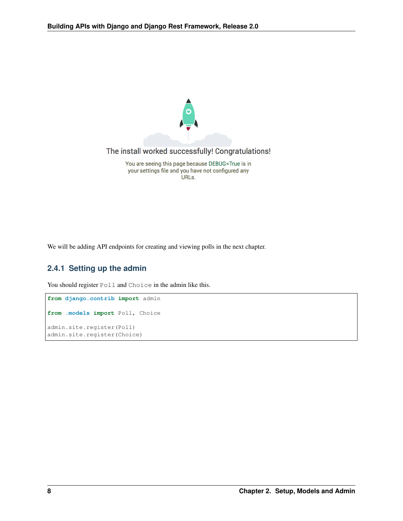

We will be adding API endpoints for creating and viewing polls in the next chapter.

#### **2.4.1 Setting up the admin**

You should register Poll and Choice in the admin like this.

```
from django.contrib import admin
from .models import Poll, Choice
admin.site.register(Poll)
admin.site.register(Choice)
```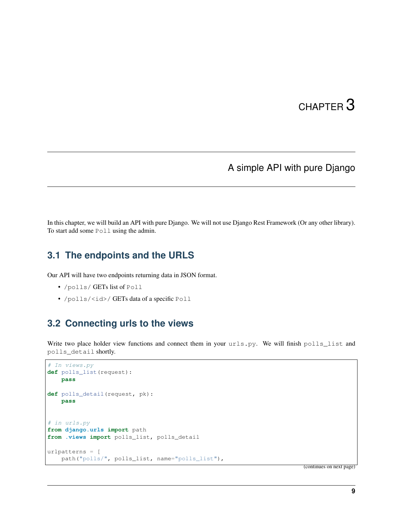# CHAPTER 3

# A simple API with pure Django

<span id="page-12-0"></span>In this chapter, we will build an API with pure Django. We will not use Django Rest Framework (Or any other library). To start add some Poll using the admin.

#### <span id="page-12-1"></span>**3.1 The endpoints and the URLS**

Our API will have two endpoints returning data in JSON format.

- /polls/ GETs list of Poll
- /polls/<id>/ GETs data of a specific Poll

## <span id="page-12-2"></span>**3.2 Connecting urls to the views**

Write two place holder view functions and connect them in your urls.py. We will finish polls\_list and polls\_detail shortly.

```
# In views.py
def polls_list(request):
   pass
def polls_detail(request, pk):
   pass
# in urls.py
from django.urls import path
from .views import polls_list, polls_detail
urlpatterns = [
   path("polls/", polls_list, name="polls_list"),
```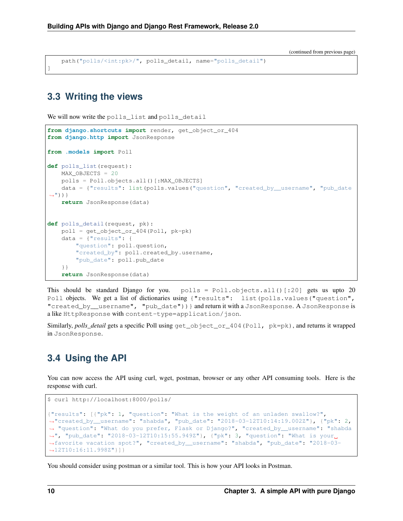path("polls/<int:pk>/", polls\_detail, name="polls\_detail")

#### <span id="page-13-0"></span>**3.3 Writing the views**

]

We will now write the polls\_list and polls\_detail

```
from django.shortcuts import render, get_object_or_404
from django.http import JsonResponse
from .models import Poll
def polls_list(request):
   MAX_OBJECTS = 20
   polls = Poll.objects.all()[:MAX_OBJECTS]
    data = {"results": list(polls.values("question", "created_by__username", "pub_date
\leftrightarrow"))}}
   return JsonResponse(data)
def polls_detail(request, pk):
   poll = get_object_or_404(Poll, pk=pk)
    data = \{ "results": {
        "question": poll.question,
        "created_by": poll.created_by.username,
        "pub_date": poll.pub_date
    }}
    return JsonResponse(data)
```
This should be standard Django for you.  $polls = Poll.objects.all()[:20] gets us up to 20$ Poll objects. We get a list of dictionaries using {"results": list(polls.values("question", "created\_by\_\_username", "pub\_date"))} and return it with a JsonResponse. A JsonResponse is a like HttpResponse with content-type=application/json.

Similarly, *polls\_detail* gets a specific Poll using  $qet\_object\_or\_404(Pol1, pk=pk)$ , and returns it wrapped in JsonResponse.

### <span id="page-13-1"></span>**3.4 Using the API**

You can now access the API using curl, wget, postman, browser or any other API consuming tools. Here is the response with curl.

```
$ curl http://localhost:8000/polls/
{"results": [{"pk": 1, "question": "What is the weight of an unladen swallow?",
˓→"created_by__username": "shabda", "pub_date": "2018-03-12T10:14:19.002Z"}, {"pk": 2,
˓→ "question": "What do you prefer, Flask or Django?", "created_by__username": "shabda
˓→", "pub_date": "2018-03-12T10:15:55.949Z"}, {"pk": 3, "question": "What is your
˓→favorite vacation spot?", "created_by__username": "shabda", "pub_date": "2018-03-
˓→12T10:16:11.998Z"}]}
```
You should consider using postman or a similar tool. This is how your API looks in Postman.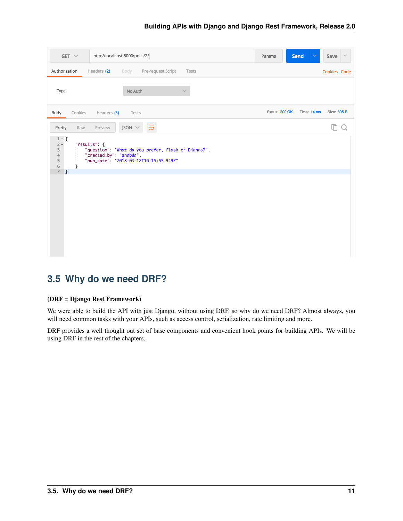| $GET \vee$                                                                                      | http://localhost:8000/polls/2/                                                                                                           | <b>Send</b><br>Save<br>$\sim$<br>Params      |
|-------------------------------------------------------------------------------------------------|------------------------------------------------------------------------------------------------------------------------------------------|----------------------------------------------|
| Authorization                                                                                   | Headers (2)<br>Pre-request Script<br>Body<br>Tests                                                                                       | Cookies Code                                 |
| Type                                                                                            | No Auth                                                                                                                                  |                                              |
| Cookies<br>Body                                                                                 | Headers (5)<br>Tests                                                                                                                     | Status: 200 OK<br>Time: 14 ms<br>Size: 305 B |
| Raw<br>Pretty                                                                                   | $JSON \vee$<br>Preview                                                                                                                   |                                              |
| $1 - \lfloor \frac{1}{2} \rfloor$<br>$2 -$<br>3<br>4<br>5<br>$\,$ 6<br>ł<br>$\overline{7}$<br>} | "results": {<br>"question": "What do you prefer, Flask or Django?",<br>"created_by": "shabda",<br>"pub_date": "2018-03-12T10:15:55.949Z" |                                              |
|                                                                                                 |                                                                                                                                          |                                              |
|                                                                                                 |                                                                                                                                          |                                              |

# <span id="page-14-0"></span>**3.5 Why do we need DRF?**

#### (DRF = Django Rest Framework)

We were able to build the API with just Django, without using DRF, so why do we need DRF? Almost always, you will need common tasks with your APIs, such as access control, serialization, rate limiting and more.

DRF provides a well thought out set of base components and convenient hook points for building APIs. We will be using DRF in the rest of the chapters.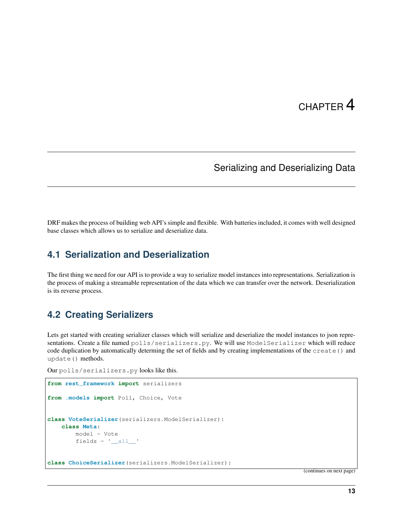# CHAPTER 4

### Serializing and Deserializing Data

<span id="page-16-0"></span>DRF makes the process of building web API's simple and flexible. With batteries included, it comes with well designed base classes which allows us to serialize and deserialize data.

#### <span id="page-16-1"></span>**4.1 Serialization and Deserialization**

The first thing we need for our API is to provide a way to serialize model instances into representations. Serialization is the process of making a streamable representation of the data which we can transfer over the network. Deserialization is its reverse process.

## <span id="page-16-2"></span>**4.2 Creating Serializers**

Lets get started with creating serializer classes which will serialize and deserialize the model instances to json representations. Create a file named polls/serializers.py. We will use ModelSerializer which will reduce code duplication by automatically determing the set of fields and by creating implementations of the create() and update() methods.

```
Our polls/serializers.py looks like this.
```

```
from rest_framework import serializers
from .models import Poll, Choice, Vote
class VoteSerializer(serializers.ModelSerializer):
   class Meta:
       model = Vote
        fields = '__all__'class ChoiceSerializer(serializers.ModelSerializer):
```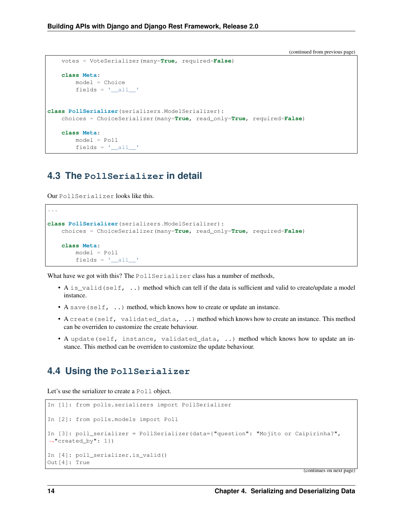```
votes = VoteSerializer(many=True, required=False)
   class Meta:
        model = Choice
        fields = \prime all \primeclass PollSerializer(serializers.ModelSerializer):
   choices = ChoiceSerializer(many=True, read_only=True, required=False)
   class Meta:
       model = Poll
        fields = '__all__'
```
#### <span id="page-17-0"></span>**4.3 The PollSerializer in detail**

Our PollSerializer looks like this.

```
...
class PollSerializer(serializers.ModelSerializer):
   choices = ChoiceSerializer(many=True, read_only=True, required=False)
   class Meta:
       model = Poll
       fields = '__all__'
```
What have we got with this? The PollSerializer class has a number of methods,

- A is\_valid(self, ..) method which can tell if the data is sufficient and valid to create/update a model instance.
- A save (self,  $\ldots$ ) method, which knows how to create or update an instance.
- A create (self, validated data, ..) method which knows how to create an instance. This method can be overriden to customize the create behaviour.
- A update(self, instance, validated\_data, ..) method which knows how to update an instance. This method can be overriden to customize the update behaviour.

#### <span id="page-17-1"></span>**4.4 Using the PollSerializer**

Let's use the serializer to create a Poll object.

```
In [1]: from polls.serializers import PollSerializer
In [2]: from polls.models import Poll
In [3]: poll_serializer = PollSerializer(data={"question": "Mojito or Caipirinha?",
˓→"created_by": 1})
In [4]: poll_serializer.is_valid()
Out[4]: True
```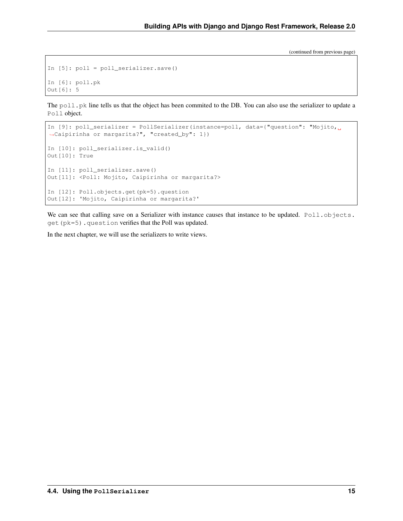```
In [5]: poll = poll_serializer.save()
In [6]: poll.pk
Out[6]: 5
```
The  $p$ oll.pk line tells us that the object has been commited to the DB. You can also use the serializer to update a Poll object.

```
In [9]: poll_serializer = PollSerializer(instance=poll, data={"question": "Mojito,
˓→Caipirinha or margarita?", "created_by": 1})
In [10]: poll_serializer.is_valid()
Out[10]: True
In [11]: poll_serializer.save()
Out[11]: <Poll: Mojito, Caipirinha or margarita?>
In [12]: Poll.objects.get(pk=5).question
Out[12]: 'Mojito, Caipirinha or margarita?'
```
We can see that calling save on a Serializer with instance causes that instance to be updated. Poll.objects. get(pk=5).question verifies that the Poll was updated.

In the next chapter, we will use the serializers to write views.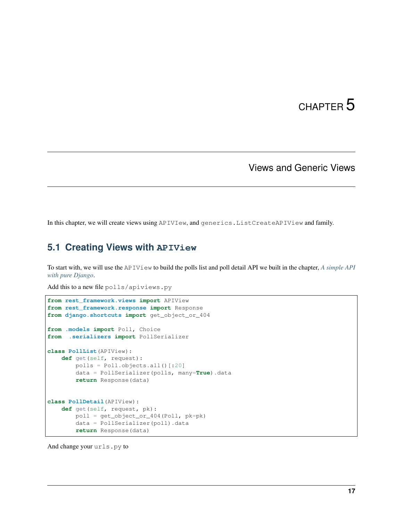# CHAPTER 5

### Views and Generic Views

<span id="page-20-0"></span>In this chapter, we will create views using APIVIew, and generics.ListCreateAPIView and family.

# <span id="page-20-1"></span>**5.1 Creating Views with APIView**

To start with, we will use the APIView to build the polls list and poll detail API we built in the chapter, *[A simple API](#page-12-0) [with pure Django](#page-12-0)*.

Add this to a new file polls/apiviews.py

```
from rest_framework.views import APIView
from rest_framework.response import Response
from django.shortcuts import get_object_or_404
from .models import Poll, Choice
from .serializers import PollSerializer
class PollList(APIView):
   def get(self, request):
       polls = Poll.objects.all()[:20]
       data = PollSerializer(polls, many=True).data
       return Response(data)
class PollDetail(APIView):
   def get(self, request, pk):
       poll = get_object_or_404(Poll, pk=pk)
        data = PollSerializer(poll).data
        return Response(data)
```
And change your urls.py to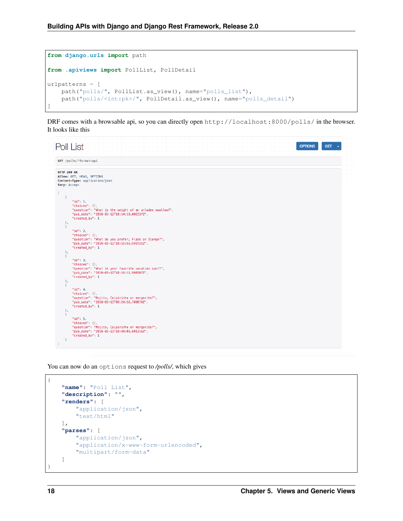```
from django.urls import path
from .apiviews import PollList, PollDetail
urlpatterns = [
   path("polls/", PollList.as_view(), name="polls_list"),
   path("polls/<int:pk>/", PollDetail.as_view(), name="polls_detail")
]
```
DRF comes with a browsable api, so you can directly open http://localhost:8000/polls/ in the browser. It looks like this

|                                                                                                                                    | Poll List                                                                                                                                                                                                                                                                                                                                                                                                                                                                                                                                                                                                                                                                                                                                      | <b>OPTIONS</b><br><b>GET</b> |
|------------------------------------------------------------------------------------------------------------------------------------|------------------------------------------------------------------------------------------------------------------------------------------------------------------------------------------------------------------------------------------------------------------------------------------------------------------------------------------------------------------------------------------------------------------------------------------------------------------------------------------------------------------------------------------------------------------------------------------------------------------------------------------------------------------------------------------------------------------------------------------------|------------------------------|
|                                                                                                                                    | GET /polls/?format=api                                                                                                                                                                                                                                                                                                                                                                                                                                                                                                                                                                                                                                                                                                                         |                              |
| $\mathcal{A}$<br>$\mathbf{F}$<br>$\mathcal{L}$<br>Ъ,<br>$\mathcal{F}$<br>Ъ,<br>$\overline{A}$<br>$\mathbf{F}_{i}$<br>$\mathcal{F}$ | <b>HTTP 200 OK</b><br>Allow: GET, HEAD, OPTIONS<br>Content-Type: application/json<br>Vary: Accept<br>"id": 1.<br>"choices": [],<br>"question": "What is the weight of an unladen swallow?",<br>"pub_date": "2018-03-12T10:14:19.002337Z",<br>"created_by": 1<br>" $id$ ": 2,<br>"choices": [],<br>"question": "What do you prefer, Flask or Django?",<br>"pub_date": "2018-03-12T10:15:55.949721Z",<br>"created_by": 1<br>"id": 3,<br>"choices": [],<br>"question": "What is your favorite vacation spot?",<br>"pub_date": "2018-03-12T10:16:11.998387Z",<br>"created_by": 1<br>"id": 4.<br>"choices": [],<br>"question": "Mojito, Caipirinha or margarita?",<br>"pub_date": "2018-03-13T09:24:52.709870Z",<br>"created_by": 1<br>" $id$ ": 5. |                              |
|                                                                                                                                    | "choices": [],<br>"question": "Mojito, Caipirinha or margarita?",<br>"pub_date": "2018-03-13T10:40:01.601316Z",<br>"created_by": 1                                                                                                                                                                                                                                                                                                                                                                                                                                                                                                                                                                                                             |                              |
|                                                                                                                                    |                                                                                                                                                                                                                                                                                                                                                                                                                                                                                                                                                                                                                                                                                                                                                |                              |

You can now do an options request to */polls/*, which gives

```
{
    "name": "Poll List",
    "description": "",
    "renders": [
        "application/json",
        "text/html"
    \frac{1}{2},
    "parses": [
        "application/json",
        "application/x-www-form-urlencoded",
        "multipart/form-data"
    ]
}
```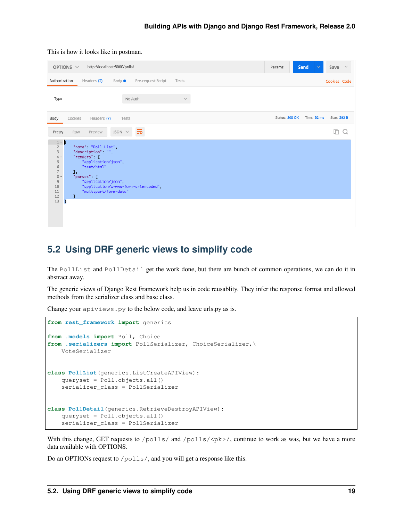|                                                                                                                        | http://localhost:8000/polls/<br>OPTIONS V                                                                                                                                                                         | Params         | Send        | Save<br>$\sim$ |
|------------------------------------------------------------------------------------------------------------------------|-------------------------------------------------------------------------------------------------------------------------------------------------------------------------------------------------------------------|----------------|-------------|----------------|
| Authorization                                                                                                          | Headers (2)<br>Body $\bullet$<br>Pre-request Script<br>Tests                                                                                                                                                      |                |             | Cookies Code   |
| Type                                                                                                                   | No Auth<br>$\checkmark$                                                                                                                                                                                           |                |             |                |
| Body                                                                                                                   | Cookies<br>Headers (7)<br>Tests                                                                                                                                                                                   | Status: 200 OK | Time: 82 ms | Size: 393 B    |
| Pretty                                                                                                                 | ₹<br>$JSON \vee$<br>Raw<br>Preview                                                                                                                                                                                |                |             |                |
| $1 - 5$<br>$\overline{2}$<br>3<br>$4 -$<br>5<br>6<br>$\overline{7}$<br>$8 -$<br>$\overline{9}$<br>10<br>11<br>12<br>13 | "name": "Poll List",<br>"description" "",<br>"renders": [<br>"application/json",<br>"text/html"<br>J,<br>"parses": [<br>"application/json",<br>"application/x-www-form-urlencoded",<br>"multipart/form-data"<br>ŀ |                |             |                |

#### This is how it looks like in postman.

### <span id="page-22-0"></span>**5.2 Using DRF generic views to simplify code**

The PollList and PollDetail get the work done, but there are bunch of common operations, we can do it in abstract away.

The generic views of Django Rest Framework help us in code reusablity. They infer the response format and allowed methods from the serializer class and base class.

Change your apiviews.py to the below code, and leave urls.py as is.

```
from rest_framework import generics
from .models import Poll, Choice
from .serializers import PollSerializer, ChoiceSerializer,\
   VoteSerializer
class PollList(generics.ListCreateAPIView):
   queryset = Poll.objects.all()
    serializer_class = PollSerializer
class PollDetail(generics.RetrieveDestroyAPIView):
    queryset = Poll.objects.all()
    serializer_class = PollSerializer
```
With this change, GET requests to  $/polls / and /polls /$ , continue to work as was, but we have a more data available with OPTIONS.

Do an OPTIONs request to /polls/, and you will get a response like this.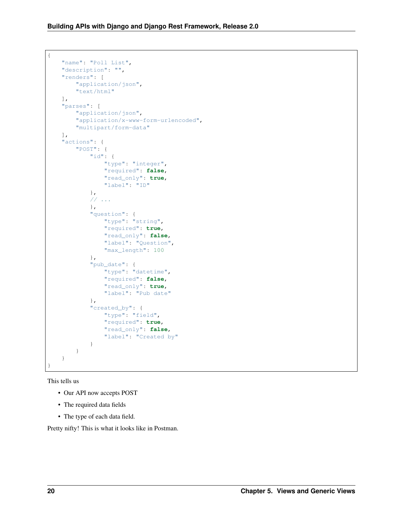```
{
    "name": "Poll List",
    "description": "",
    "renders": [
        "application/json",
        "text/html"
    \frac{1}{2},
    "parses": [
        "application/json",
        "application/x-www-form-urlencoded",
        "multipart/form-data"
    \frac{1}{2},
    "actions": {
        "POST": {
            "id": {
                 "type": "integer",
                "required": false,
                "read_only": true,
                "label": "ID"
            },
            // ...
            },
            "question": {
                "type": "string",
                "required": true,
                "read_only": false,
                "label": "Question",
                "max_length": 100
            },
            "pub_date": {
                "type": "datetime",
                "required": false,
                "read_only": true,
                "label": "Pub date"
            },
            "created_by": {
                 "type": "field",
                 "required": true,
                "read_only": false,
                "label": "Created by"
            }
        }
    }
}
```
This tells us

- Our API now accepts POST
- The required data fields
- The type of each data field.

Pretty nifty! This is what it looks like in Postman.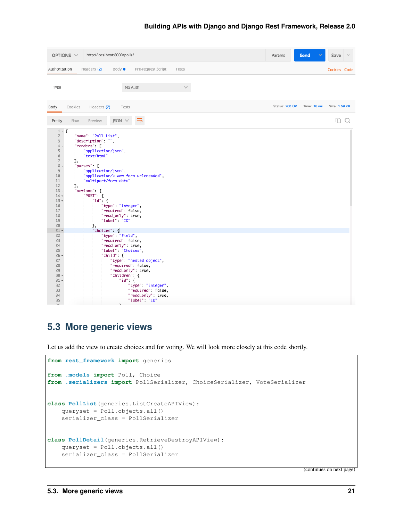

## <span id="page-24-0"></span>**5.3 More generic views**

Let us add the view to create choices and for voting. We will look more closely at this code shortly.

```
from rest_framework import generics
from .models import Poll, Choice
from .serializers import PollSerializer, ChoiceSerializer, VoteSerializer
class PollList(generics.ListCreateAPIView):
   queryset = Poll.objects.all()
    serializer_class = PollSerializer
class PollDetail(generics.RetrieveDestroyAPIView):
    queryset = Poll.objects.all()
    serializer_class = PollSerializer
```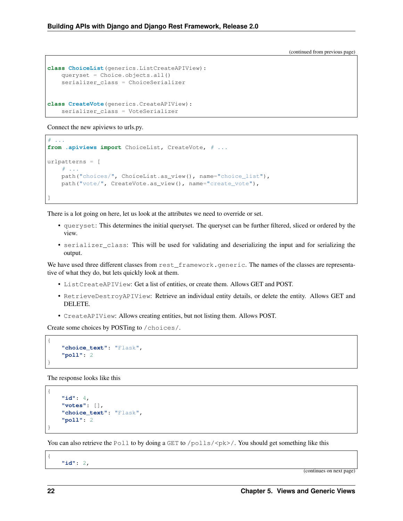```
class ChoiceList(generics.ListCreateAPIView):
   queryset = Choice.objects.all()
    serializer_class = ChoiceSerializer
class CreateVote(generics.CreateAPIView):
    serializer_class = VoteSerializer
```
Connect the new apiviews to urls.py.

```
# \ldotsfrom .apiviews import ChoiceList, CreateVote, # ...
urlpatterns = [
    # ...
   path("choices/", ChoiceList.as_view(), name="choice_list"),
    path("vote/", CreateVote.as_view(), name="create_vote"),
]
```
There is a lot going on here, let us look at the attributes we need to override or set.

- queryset: This determines the initial queryset. The queryset can be further filtered, sliced or ordered by the view.
- serializer\_class: This will be used for validating and deserializing the input and for serializing the output.

We have used three different classes from rest\_framework.generic. The names of the classes are representative of what they do, but lets quickly look at them.

- ListCreateAPIView: Get a list of entities, or create them. Allows GET and POST.
- RetrieveDestroyAPIView: Retrieve an individual entity details, or delete the entity. Allows GET and DELETE.
- CreateAPIView: Allows creating entities, but not listing them. Allows POST.

Create some choices by POSTing to /choices/.

```
"choice_text": "Flask",
"poll": 2
```
The response looks like this

```
{
    "id": 4,
    "votes": [],
    "choice_text": "Flask",
    "poll": 2
}
```
You can also retrieve the Poll to by doing a GET to /polls/ $\langle$ pk>/. You should get something like this

**"id"**: 2,

(continues on next page)

{

{

}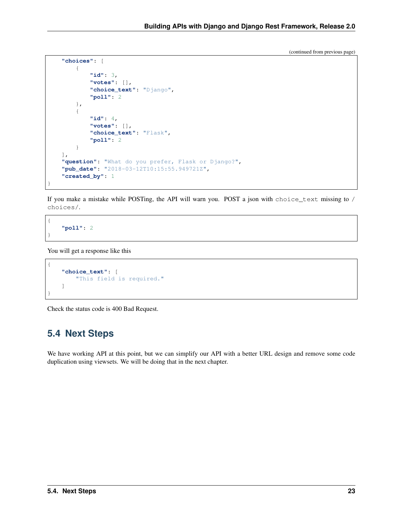```
"choices": [
    {
        "id": 3,
        "votes": [],
        "choice_text": "Django",
        "poll": 2
    },
    {
        "id": 4,
        "votes": [],
        "choice_text": "Flask",
        "poll": 2
    }
],
"question": "What do you prefer, Flask or Django?",
"pub_date": "2018-03-12T10:15:55.949721Z",
"created_by": 1
```
If you make a mistake while POSTing, the API will warn you. POST a json with choice\_text missing to / choices/.

**"poll"**: 2

}

{

}

You will get a response like this

```
{
    "choice_text": [
        "This field is required."
    ]
}
```
Check the status code is 400 Bad Request.

## <span id="page-26-0"></span>**5.4 Next Steps**

We have working API at this point, but we can simplify our API with a better URL design and remove some code duplication using viewsets. We will be doing that in the next chapter.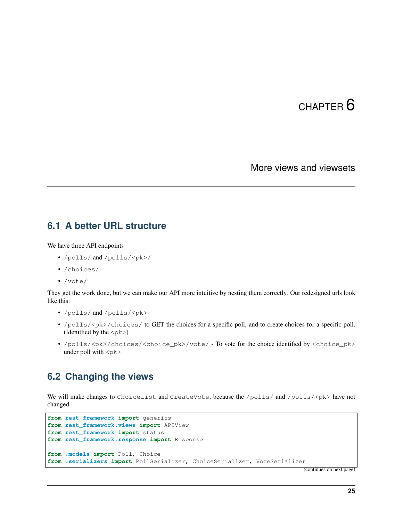# CHAPTER 6

#### More views and viewsets

#### <span id="page-28-1"></span><span id="page-28-0"></span>**6.1 A better URL structure**

We have three API endpoints

- /polls/ and /polls/<pk>/
- /choices/
- /vote/

They get the work done, but we can make our API more intuitive by nesting them correctly. Our redesigned urls look like this:

- /polls/ and /polls/<pk>
- /polls/ $<$ pk>/choices/ to GET the choices for a specific poll, and to create choices for a specific poll. (Idenitfied by the  $\langle$ p $k$  $>$ )
- /polls/<pk>/choices/<choice\_pk>/vote/ To vote for the choice identified by <choice\_pk> under poll with  $\langle$ p $k$  $>$ .

## <span id="page-28-2"></span>**6.2 Changing the views**

We will make changes to ChoiceList and CreateVote, because the  $/polls / {nolls}$  /spk> have not changed.

```
from rest_framework import generics
from rest_framework.views import APIView
from rest_framework import status
from rest_framework.response import Response
from .models import Poll, Choice
from .serializers import PollSerializer, ChoiceSerializer, VoteSerializer
```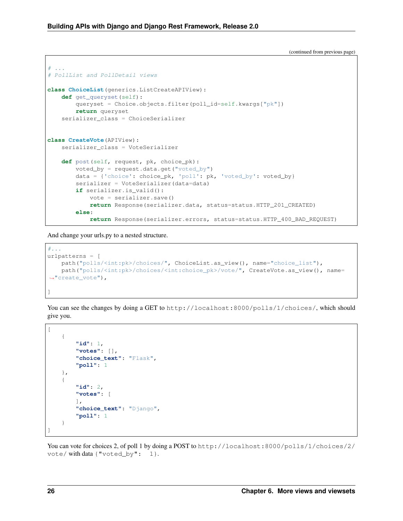```
. . . . .
# PollList and PollDetail views
class ChoiceList(generics.ListCreateAPIView):
   def get_queryset(self):
        queryset = Choice.objects.filter(poll_id=self.kwargs["pk"])
        return queryset
    serializer_class = ChoiceSerializer
class CreateVote(APIView):
   serializer_class = VoteSerializer
    def post(self, request, pk, choice_pk):
        voted_by = request.data.get("voted_by")
        data = {'choice': choice_pk, 'poll': pk, 'voted_by': voted_by}
        serializer = VoteSerializer(data=data)
        if serializer.is_valid():
            vote = serializer.save()
            return Response(serializer.data, status=status.HTTP_201_CREATED)
        else:
            return Response(serializer.errors, status=status.HTTP_400_BAD_REQUEST)
```
And change your urls.py to a nested structure.

```
#...urlpatterns = [
   path("polls/<int:pk>/choices/", ChoiceList.as_view(), name="choice_list"),
   path("polls/<int:pk>/choices/<int:choice_pk>/vote/", CreateVote.as_view(), name=
˓→"create_vote"),
]
```
You can see the changes by doing a GET to http://localhost:8000/polls/1/choices/, which should give you.

```
[
    {
        "id": 1,
         "votes": [],
         "choice_text": "Flask",
        "poll": 1
    },
    {
        "id": 2,
        "votes": [
        \vert,
        "choice_text": "Django",
        "poll": 1
    }
]
```
You can vote for choices 2, of poll 1 by doing a POST to http://localhost:8000/polls/1/choices/2/ vote/ with data {"voted\_by": 1}.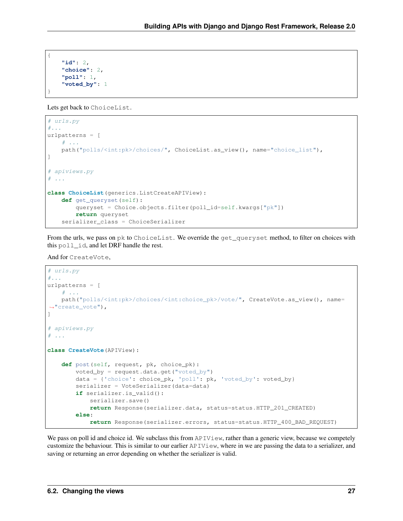```
"id": 2,
"choice": 2,
"poll": 1,
"voted_by": 1
```
{

}

Lets get back to ChoiceList.

```
# urls.py
#...urlpatterns = [
   # ...
   path("polls/<int:pk>/choices/", ChoiceList.as_view(), name="choice_list"),
]
# apiviews.py
\# ...
class ChoiceList(generics.ListCreateAPIView):
   def get_queryset(self):
        queryset = Choice.objects.filter(poll_id=self.kwargs["pk"])
        return queryset
    serializer_class = ChoiceSerializer
```
From the urls, we pass on pk to ChoiceList. We override the get\_queryset method, to filter on choices with this poll\_id, and let DRF handle the rest.

And for CreateVote,

```
# urls.py
#...urlpatterns = [
   # ...
   path("polls/<int:pk>/choices/<int:choice_pk>/vote/", CreateVote.as_view(), name=
˓→"create_vote"),
]
# apiviews.py
# ...
class CreateVote(APIView):
   def post(self, request, pk, choice_pk):
        voted_by = request.data.get("voted by")data = {'choice': choice_pk, 'poll': pk, 'voted_by': voted_by}
       serializer = VoteSerializer(data=data)
        if serializer.is_valid():
            serializer.save()
            return Response(serializer.data, status=status.HTTP_201_CREATED)
        else:
            return Response(serializer.errors, status=status.HTTP_400_BAD_REQUEST)
```
We pass on poll id and choice id. We subclass this from APIView, rather than a generic view, because we competely customize the behaviour. This is similar to our earlier  $APIView$ , where in we are passing the data to a serializer, and saving or returning an error depending on whether the serializer is valid.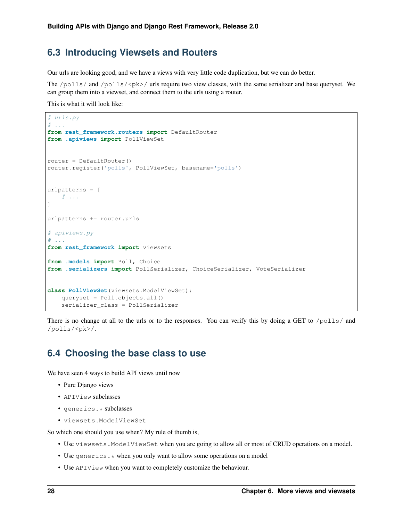#### <span id="page-31-0"></span>**6.3 Introducing Viewsets and Routers**

Our urls are looking good, and we have a views with very little code duplication, but we can do better.

The /polls/ and /polls/<pk>/ urls require two view classes, with the same serializer and base queryset. We can group them into a viewset, and connect them to the urls using a router.

This is what it will look like:

```
# urls.py
# ...
from rest_framework.routers import DefaultRouter
from .apiviews import PollViewSet
router = DefaultRouter()
router.register('polls', PollViewSet, basename='polls')
urlpatterns = [
    \# ...
]
urlpatterns += router.urls
# apiviews.py
# ...
from rest_framework import viewsets
from .models import Poll, Choice
from .serializers import PollSerializer, ChoiceSerializer, VoteSerializer
class PollViewSet(viewsets.ModelViewSet):
   queryset = Poll.objects.all()
    serializer_class = PollSerializer
```
There is no change at all to the urls or to the responses. You can verify this by doing a GET to  $/polls/$  and /polls/<pk>/.

## <span id="page-31-1"></span>**6.4 Choosing the base class to use**

We have seen 4 ways to build API views until now

- Pure Django views
- APIView subclasses
- generics.\* subclasses
- viewsets.ModelViewSet

So which one should you use when? My rule of thumb is,

- Use viewsets.ModelViewSet when you are going to allow all or most of CRUD operations on a model.
- Use generics. \* when you only want to allow some operations on a model
- Use APIView when you want to completely customize the behaviour.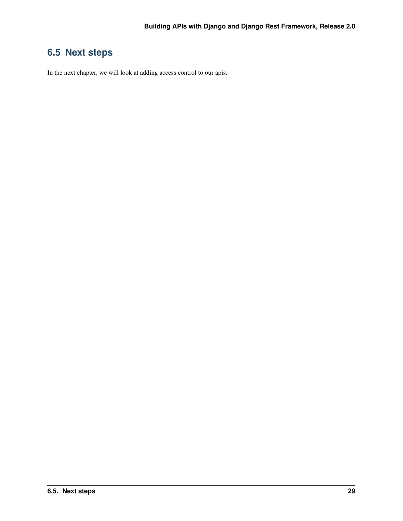# <span id="page-32-0"></span>**6.5 Next steps**

In the next chapter, we will look at adding access control to our apis.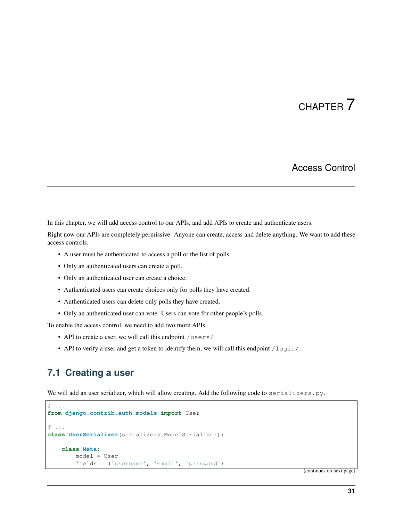# CHAPTER 7

## Access Control

<span id="page-34-0"></span>In this chapter, we will add access control to our APIs, and add APIs to create and authenticate users.

Right now our APIs are completely permissive. Anyone can create, access and delete anything. We want to add these access controls.

- A user must be authenticated to access a poll or the list of polls.
- Only an authenticated users can create a poll.
- Only an authenticated user can create a choice.
- Authenticated users can create choices only for polls they have created.
- Authenticated users can delete only polls they have created.
- Only an authenticated user can vote. Users can vote for other people's polls.

To enable the access control, we need to add two more APIs

- API to create a user, we will call this endpoint /users/
- API to verify a user and get a token to identify them, we will call this endpoint  $/\log i$

### <span id="page-34-1"></span>**7.1 Creating a user**

We will add an user serializer, which will allow creating. Add the following code to serializers.py.

```
# ...
from django.contrib.auth.models import User
# ...
class UserSerializer(serializers.ModelSerializer):
    class Meta:
        model = User
        fields = ('username', 'email', 'password')
```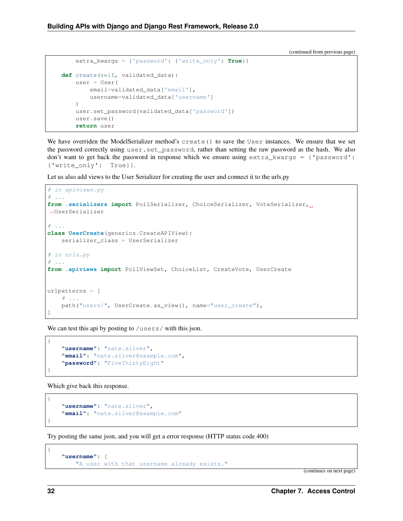```
extra_kwargs = {'password': {'write_only': True}}
def create(self, validated_data):
    user = User(
       email=validated_data['email'],
        username=validated_data['username']
    )
    user.set_password(validated_data['password'])
    user.save()
    return user
```
We have overriden the ModelSerializer method's create() to save the User instances. We ensure that we set the password correctly using user.set\_password, rather than setting the raw password as the hash. We also don't want to get back the password in response which we ensure using extra\_kwargs = {'password': {'write\_only': True}}.

Let us also add views to the User Serializer for creating the user and connect it to the urls.py

```
# in apiviews.py
# ...
from .serializers import PollSerializer, ChoiceSerializer, VoteSerializer,
˓→UserSerializer
# . . .
class UserCreate(generics.CreateAPIView):
    serializer_class = UserSerializer
# in urls.py
# . . .
from .apiviews import PollViewSet, ChoiceList, CreateVote, UserCreate
urlpatterns = [
    # ...
    path("users/", UserCreate.as_view(), name="user_create"),
]
```
We can test this api by posting to /users/ with this json.

```
"username": "nate.silver",
"email": "nate.silver@example.com",
"password": "FiveThirtyEight"
```
Which give back this response.

```
"username": "nate.silver",
"email": "nate.silver@example.com"
```
Try posting the same json, and you will get a error response (HTTP status code 400)

```
"username": [
    "A user with that username already exists."
```
(continues on next page)

{

}

{

}

{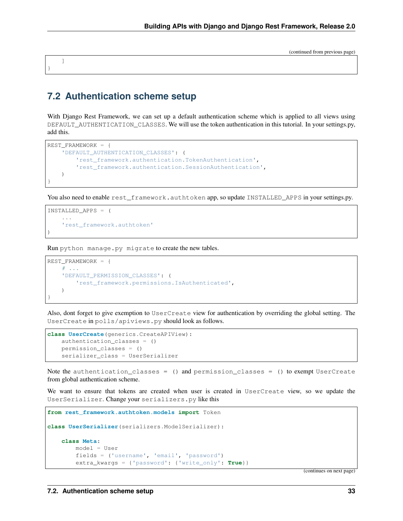### <span id="page-36-0"></span>**7.2 Authentication scheme setup**

]

}

)

With Django Rest Framework, we can set up a default authentication scheme which is applied to all views using DEFAULT\_AUTHENTICATION\_CLASSES. We will use the token authentication in this tutorial. In your settings.py, add this.

```
REST_FRAMEWORK = {
    'DEFAULT_AUTHENTICATION_CLASSES': (
        'rest_framework.authentication.TokenAuthentication',
        'rest_framework.authentication.SessionAuthentication',
    )
}
```
You also need to enable rest\_framework.authtoken app, so update INSTALLED\_APPS in your settings.py.

```
INSTALLED_APPS = (
    ...
    'rest_framework.authtoken'
```
Run python manage.py migrate to create the new tables.

```
REST_FRAMEWORK = {
    # ...
    'DEFAULT_PERMISSION_CLASSES': (
        'rest_framework.permissions.IsAuthenticated',
    )
}
```
Also, dont forget to give exemption to UserCreate view for authentication by overriding the global setting. The UserCreate in polls/apiviews.py should look as follows.

```
class UserCreate(generics.CreateAPIView):
   authentication_classes = ()
   permission_classes = ()
    serializer_class = UserSerializer
```
Note the authentication\_classes = () and permission\_classes = () to exempt UserCreate from global authentication scheme.

We want to ensure that tokens are created when user is created in UserCreate view, so we update the UserSerializer. Change your serializers.py like this

```
from rest_framework.authtoken.models import Token
class UserSerializer(serializers.ModelSerializer):
    class Meta:
       model = User
        fields = ('username', 'email', 'password')
        extra_kwargs = {'password': {'write_only': True}}
```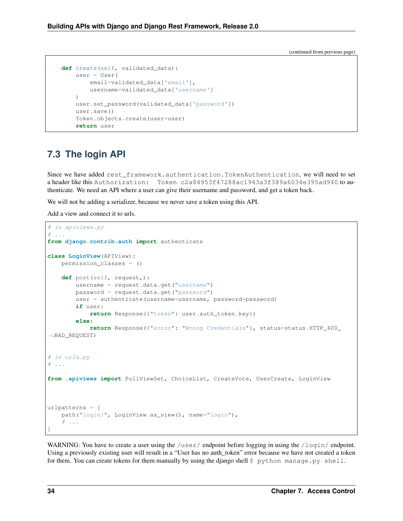```
def create(self, validated_data):
   user = User(
       email=validated_data['email'],
        username=validated_data['username']
    )
    user.set_password(validated_data['password'])
    user.save()
    Token.objects.create(user=user)
    return user
```
# <span id="page-37-0"></span>**7.3 The login API**

Since we have added rest framework.authentication.TokenAuthentication, we will need to set a header like this Authorization: Token c2a84953f47288ac1943a3f389a6034e395ad940 to authenticate. We need an API where a user can give their username and password, and get a token back.

We will not be adding a serializer, because we never save a token using this API.

Add a view and connect it to urls.

```
# in apiviews.py
# ...
from django.contrib.auth import authenticate
class LoginView(APIView):
   permission_classes = ()
   def post(self, request,):
        username = request.data.get("username")
        password = request.data.get("password")
        user = authenticate(username=username, password=password)
        if user:
            return Response({"token": user.auth_token.key})
        else:
            return Response({"error": "Wrong Credentials"}, status=status.HTTP_400_
˓→BAD_REQUEST)
# in urls.py
# ...
from .apiviews import PollViewSet, ChoiceList, CreateVote, UserCreate, LoginView
urlpatterns = [
   path("login/", LoginView.as_view(), name="login"),
    # ...
]
```
WARNING: You have to create a user using the /user/ endpoint before logging in using the /login/ endpoint. Using a previously existing user will result in a "User has no auth token" error because we have not created a token for them. You can create tokens for them manually by using the django shell \$ python manage.py shell.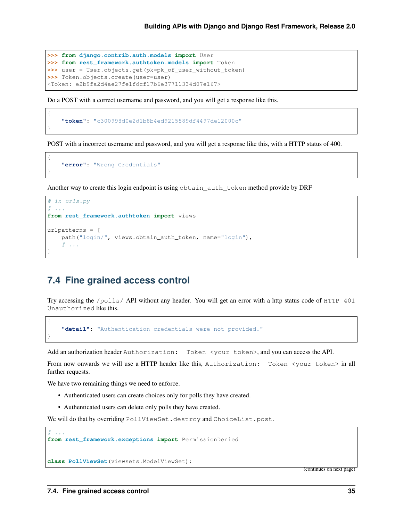```
>>> from django.contrib.auth.models import User
>>> from rest_framework.authtoken.models import Token
>>> user = User.objects.get(pk=pk_of_user_without_token)
>>> Token.objects.create(user=user)
<Token: e2b9fa2d4ae27fe1fdcf17b6e37711334d07e167>
```
Do a POST with a correct username and password, and you will get a response like this.

```
"token": "c300998d0e2d1b8b4ed9215589df4497de12000c"
```
POST with a incorrect username and password, and you will get a response like this, with a HTTP status of 400.

```
"error": "Wrong Credentials"
```
{

}

{

}

{

}

 $#$  ...

Another way to create this login endpoint is using obtain\_auth\_token method provide by DRF

```
# in urls.py
 # ...
from rest_framework.authtoken import views
urlpatterns = [
   path("login/", views.obtain_auth_token, name="login"),
    # ...
]
```
### <span id="page-38-0"></span>**7.4 Fine grained access control**

Try accessing the /polls/ API without any header. You will get an error with a http status code of HTTP 401 Unauthorized like this.

```
"detail": "Authentication credentials were not provided."
```
Add an authorization header Authorization: Token <your token>, and you can access the API.

From now onwards we will use a HTTP header like this, Authorization: Token <your token> in all further requests.

We have two remaining things we need to enforce.

- Authenticated users can create choices only for polls they have created.
- Authenticated users can delete only polls they have created.

We will do that by overriding PollViewSet.destroy and ChoiceList.post.

```
from rest_framework.exceptions import PermissionDenied
```
**class PollViewSet**(viewsets.ModelViewSet):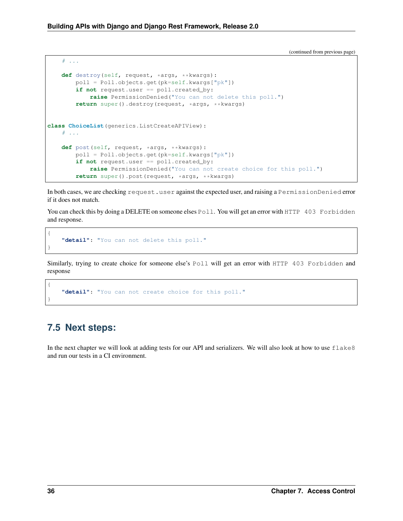```
# ...
   def destroy(self, request, *args, **kwargs):
        poll = Poll.objects.get(pk=self.kwargs["pk"])
        if not request.user == poll.created_by:
            raise PermissionDenied("You can not delete this poll.")
        return super().destroy(request, *args, **kwargs)
class ChoiceList(generics.ListCreateAPIView):
    # ...
   def post(self, request, *args, **kwargs):
       poll = Poll.objects.get(pk=self.kwargs["pk"])
        if not request.user == poll.created by:
            raise PermissionDenied("You can not create choice for this poll.")
        return super().post(request, *args, **kwargs)
```
In both cases, we are checking request.user against the expected user, and raising a PermissionDenied error if it does not match.

You can check this by doing a DELETE on someone elses Poll. You will get an error with HTTP 403 Forbidden and response.

```
"detail": "You can not delete this poll."
```
Similarly, trying to create choice for someone else's Poll will get an error with HTTP 403 Forbidden and response

```
"detail": "You can not create choice for this poll."
```
# <span id="page-39-0"></span>**7.5 Next steps:**

{

}

{

}

In the next chapter we will look at adding tests for our API and serializers. We will also look at how to use  $\text{false}8$ and run our tests in a CI environment.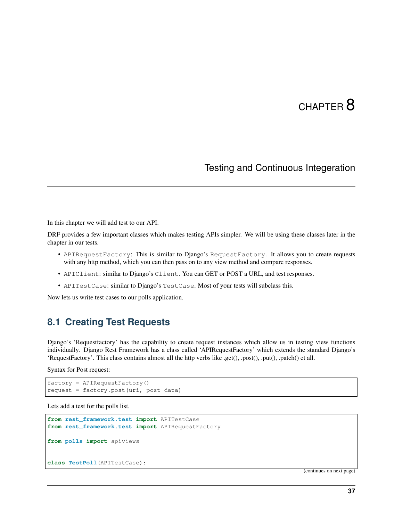# CHAPTER  $8$

# Testing and Continuous Integeration

<span id="page-40-0"></span>In this chapter we will add test to our API.

DRF provides a few important classes which makes testing APIs simpler. We will be using these classes later in the chapter in our tests.

- APIRequestFactory: This is similar to Django's RequestFactory. It allows you to create requests with any http method, which you can then pass on to any view method and compare responses.
- APIClient: similar to Django's Client. You can GET or POST a URL, and test responses.
- APITestCase: similar to Django's TestCase. Most of your tests will subclass this.

Now lets us write test cases to our polls application.

#### <span id="page-40-1"></span>**8.1 Creating Test Requests**

Django's 'Requestfactory' has the capability to create request instances which allow us in testing view functions individually. Django Rest Framework has a class called 'APIRequestFactory' which extends the standard Django's 'RequestFactory'. This class contains almost all the http verbs like .get(), .post(), .put(), .patch() et all.

Syntax for Post request:

```
factory = APIRequestFactory()
request = factory.post(uri, post data)
```
Lets add a test for the polls list.

```
from rest_framework.test import APITestCase
from rest_framework.test import APIRequestFactory
from polls import apiviews
class TestPoll(APITestCase):
```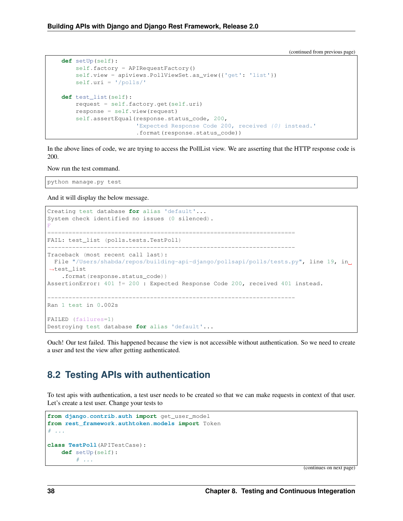```
def setUp(self):
    self.factory = APIRequestFactory()
    self.view = apiviews.PollViewSet.as_view({'get': 'list'})
    self.uri = '/polls/'
def test_list(self):
    request = self.factory.get(self.uri)
    response = self.view(request)
    self.assertEqual(response.status_code, 200,
                     'Expected Response Code 200, received {0} instead.'
                     .format(response.status_code))
```
In the above lines of code, we are trying to access the PollList view. We are asserting that the HTTP response code is 200.

Now run the test command.

python manage.py test

And it will display the below message.

```
Creating test database for alias 'default'...
System check identified no issues (0 silenced).
F
======================================================================
FAIL: test list (polls.tests.TestPoll)
----------------------------------------------------------------------
Traceback (most recent call last):
File "/Users/shabda/repos/building-api-django/pollsapi/polls/tests.py", line 19, in
˓→test_list
   .format(response.status code))
AssertionError: 401 != 200 : Expected Response Code 200, received 401 instead.
----------------------------------------------------------------------
Ran 1 test in 0.002s
FAILED (failures=1)
Destroying test database for alias 'default'...
```
Ouch! Our test failed. This happened because the view is not accessible without authentication. So we need to create a user and test the view after getting authenticated.

#### <span id="page-41-0"></span>**8.2 Testing APIs with authentication**

To test apis with authentication, a test user needs to be created so that we can make requests in context of that user. Let's create a test user. Change your tests to

```
from django.contrib.auth import get_user_model
from rest_framework.authtoken.models import Token
# ...
class TestPoll(APITestCase):
   def setUp(self):
       # ...
```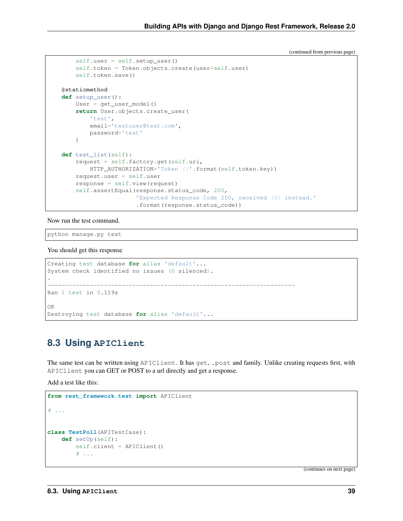```
self.user = self.setup_user()
    self.token = Token.objects.create(user=self.user)
    self.token.save()
@staticmethod
def setup_user():
   User = get_user_model()
    return User.objects.create_user(
       'test',
       email='testuser@test.com',
       password='test'
    )
def test_list(self):
   request = self.factory.get(self.uri,
       HTTP_AUTHORIZATION='Token {}'.format(self.token.key))
    request.user = self.user
    response = self.view(request)
    self.assertEqual(response.status_code, 200,
                     'Expected Response Code 200, received {0} instead.'
                     .format(response.status_code))
```
Now run the test command.

python manage.py test

You should get this response

```
Creating test database for alias 'default'...
System check identified no issues (0 silenced).
.
----------------------------------------------------------------------
Ran 1 test in 0.119s
OK
Destroying test database for alias 'default'...
```
### <span id="page-42-0"></span>**8.3 Using APIClient**

The same test can be written using APIClient. It has get, .post and family. Unlike creating requests first, with APIClient you can GET or POST to a url directly and get a response.

Add a test like this:

```
from rest_framework.test import APIClient
# \t . . .class TestPoll(APITestCase):
    def setUp(self):
        self.client = APIClient()
        # ...
```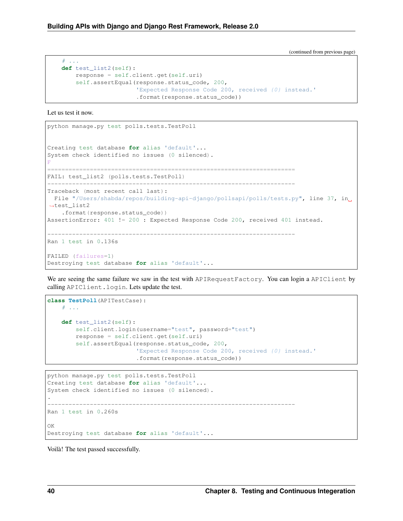```
# ...
def test_list2(self):
   response = self.client.get(self.uri)
    self.assertEqual(response.status_code, 200,
                     'Expected Response Code 200, received {0} instead.'
                     .format(response.status_code))
```
Let us test it now.

```
python manage.py test polls.tests.TestPoll
Creating test database for alias 'default'...
System check identified no issues (0 silenced).
F
======================================================================
FAIL: test_list2 (polls.tests.TestPoll)
----------------------------------------------------------------------
Traceback (most recent call last):
 File "/Users/shabda/repos/building-api-django/pollsapi/polls/tests.py", line 37, in
˓→test_list2
   .format(response.status_code))
AssertionError: 401 != 200 : Expected Response Code 200, received 401 instead.
----------------------------------------------------------------------
Ran 1 test in 0.136s
FAILED (failures=1)
Destroying test database for alias 'default'...
```
We are seeing the same failure we saw in the test with APIRequest Factory. You can login a APIClient by calling APIClient.login. Lets update the test.

```
class TestPoll(APITestCase):
    # . . .
    def test_list2(self):
        self.client.login(username="test", password="test")
        response = self.client.get(self.uri)
        self.assertEqual(response.status_code, 200,
                          'Expected Response Code 200, received {0} instead.'
                         .format(response.status_code))
```

```
python manage.py test polls.tests.TestPoll
Creating test database for alias 'default'...
System check identified no issues (0 silenced).
.
     ----------------------------------------------------------------------
Ran 1 test in 0.260s
OK
Destroying test database for alias 'default'...
```
Voilà! The test passed successfully.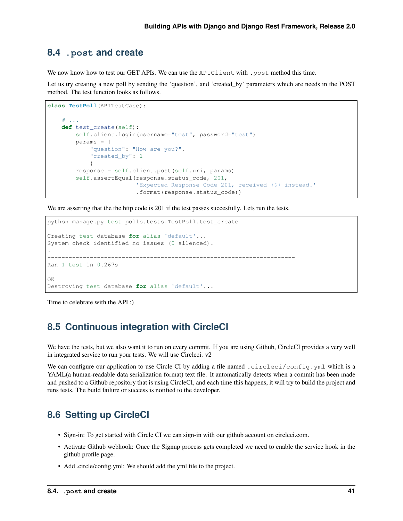#### <span id="page-44-0"></span>**8.4 .post and create**

We now know how to test our GET APIs. We can use the APIClient with .post method this time.

Let us try creating a new poll by sending the 'question', and 'created\_by' parameters which are needs in the POST method. The test function looks as follows.

```
class TestPoll(APITestCase):
    # ...
   def test_create(self):
       self.client.login(username="test", password="test")
       params = {
            "question": "How are you?",
            "created_by": 1
            }
        response = self.client.post(self.uri, params)
        self.assertEqual(response.status_code, 201,
                         'Expected Response Code 201, received {0} instead.'
                         .format(response.status_code))
```
We are asserting that the the http code is 201 if the test passes succesfully. Lets run the tests.

```
python manage.py test polls.tests.TestPoll.test_create
Creating test database for alias 'default'...
System check identified no issues (0 silenced).
.
----------------------------------------------------------------------
Ran 1 test in 0.267s
OK
Destroying test database for alias 'default'...
```
Time to celebrate with the API :)

## <span id="page-44-1"></span>**8.5 Continuous integration with CircleCI**

We have the tests, but we also want it to run on every commit. If you are using Github, CircleCI provides a very well in integrated service to run your tests. We will use Circleci. v2

We can configure our application to use Circle CI by adding a file named .circleci/config.yml which is a YAML(a human-readable data serialization format) text file. It automatically detects when a commit has been made and pushed to a Github repository that is using CircleCI, and each time this happens, it will try to build the project and runs tests. The build failure or success is notified to the developer.

# <span id="page-44-2"></span>**8.6 Setting up CircleCI**

- Sign-in: To get started with Circle CI we can sign-in with our github account on circleci.com.
- Activate Github webhook: Once the Signup process gets completed we need to enable the service hook in the github profile page.
- Add .circle/config.yml: We should add the yml file to the project.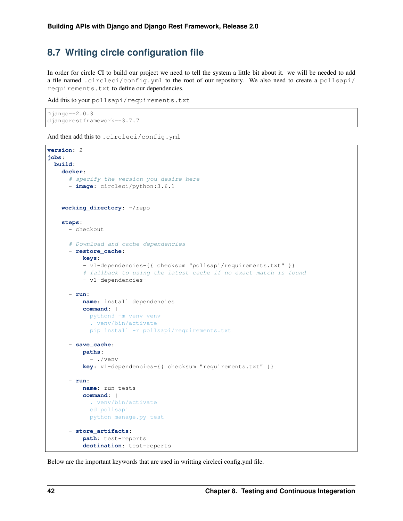## <span id="page-45-0"></span>**8.7 Writing circle configuration file**

In order for circle CI to build our project we need to tell the system a little bit about it. we will be needed to add a file named .circleci/config.yml to the root of our repository. We also need to create a pollsapi/ requirements.txt to define our dependencies.

```
Add this to your pollsapi/requirements.txt
```

```
Django==2.0.3
djangorestframework==3.7.7
```
And then add this to .circleci/config.yml

```
version: 2
jobs:
 build:
    docker:
      # specify the version you desire here
      - image: circleci/python:3.6.1
   working_directory: ~/repo
    steps:
      - checkout
      # Download and cache dependencies
      - restore_cache:
         keys:
          - v1-dependencies-{{ checksum "pollsapi/requirements.txt" }}
          # fallback to using the latest cache if no exact match is found
          - v1-dependencies-
      - run:
          name: install dependencies
          command: |
            python3 -m venv venv
            . venv/bin/activate
           pip install -r pollsapi/requirements.txt
      - save_cache:
          paths:
            - ./venv
          key: v1-dependencies-{{ checksum "requirements.txt" }}
      - run:
          name: run tests
          command: |
            . venv/bin/activate
            cd pollsapi
           python manage.py test
      - store_artifacts:
          path: test-reports
          destination: test-reports
```
Below are the important keywords that are used in writting circleci config.yml file.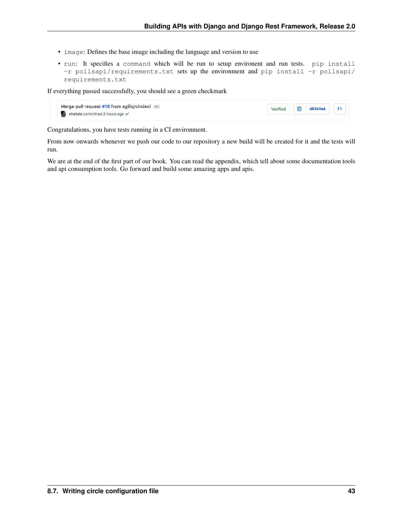- image: Defines the base image including the language and version to use
- run: It specifies a command which will be run to setup environent and run tests. pip install -r pollsapi/requirements.txt sets up the environment and pip install -r pollsapi/ requirements.txt

If everything passed successfully, you should see a green checkmark

| Merge pull request #18 from agilig/circleci []<br>shabda committed 2 hours ago $\checkmark$ |  | Verified $\bigoplus$ d63d4ed $\leftrightarrow$ |  |
|---------------------------------------------------------------------------------------------|--|------------------------------------------------|--|
|                                                                                             |  |                                                |  |

Congratulations, you have tests running in a CI environment.

From now onwards whenever we push our code to our repository a new build will be created for it and the tests will run.

We are at the end of the first part of our book. You can read the appendix, which tell about some documentation tools and api consumption tools. Go forward and build some amazing apps and apis.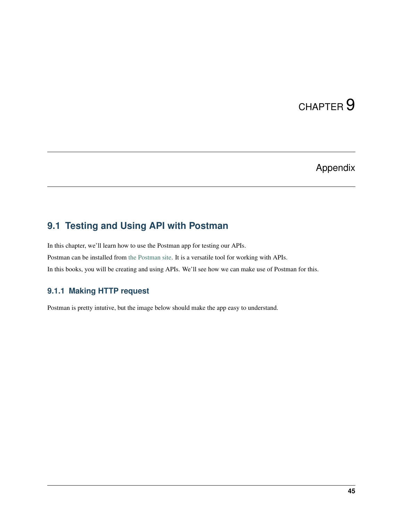# CHAPTER<sup>9</sup>

# Appendix

# <span id="page-48-1"></span><span id="page-48-0"></span>**9.1 Testing and Using API with Postman**

In this chapter, we'll learn how to use the Postman app for testing our APIs. Postman can be installed from [the Postman site.](https://www.getpostman.com/) It is a versatile tool for working with APIs. In this books, you will be creating and using APIs. We'll see how we can make use of Postman for this.

#### **9.1.1 Making HTTP request**

Postman is pretty intutive, but the image below should make the app easy to understand.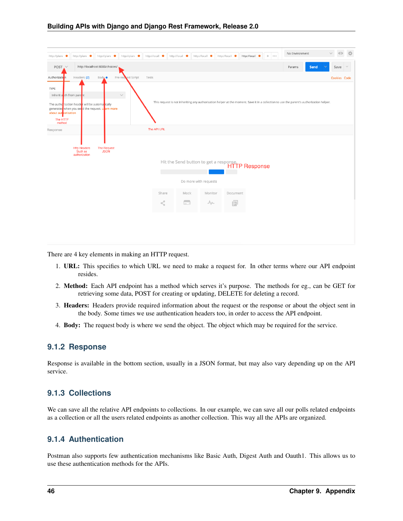| http://locall<br>http://plane<br>http://plane<br>http://plane<br>http://plane                                                                    | No Environment<br>http://local<br>http://locall<br>http://locall ·<br>http://locall ·<br>$\left\langle \cdot\right\rangle$ . $\left\langle \cdot\right\rangle$ . | ☆<br>$\odot$         |
|--------------------------------------------------------------------------------------------------------------------------------------------------|------------------------------------------------------------------------------------------------------------------------------------------------------------------|----------------------|
| http://localhost:8000/choices/<br>POST.                                                                                                          | Params<br>Send                                                                                                                                                   | Save<br>$\checkmark$ |
| Headers (2)<br>Pre-request Script<br>Tests<br>Authorization<br>Body ·                                                                            |                                                                                                                                                                  | Cookies Code         |
| TYPE<br>$\checkmark$<br>Inherit a th from parent                                                                                                 |                                                                                                                                                                  |                      |
| The authorization header will be automalically<br>generated when you set d the request. Le arn more<br>about authorization<br>The HTTP<br>method | This request is not inheriting any authorization helper at the moment. Save it in a collection to use the parent's authorization helper.                         |                      |
| Response                                                                                                                                         | The API URL                                                                                                                                                      |                      |
| <b>Http Headers</b><br><b>The Request</b><br><b>JSON</b><br>Such as<br>authorization                                                             | Hit the Send button to get a response.<br><b>HTTP Response</b>                                                                                                   |                      |
|                                                                                                                                                  | Do more with requests                                                                                                                                            |                      |
|                                                                                                                                                  | Mock<br>Monitor<br>Share<br>Document                                                                                                                             |                      |
|                                                                                                                                                  | $\overline{\phantom{a}}$<br><br><<br>$\mathcal{N}$<br>F                                                                                                          |                      |
|                                                                                                                                                  |                                                                                                                                                                  |                      |
|                                                                                                                                                  |                                                                                                                                                                  |                      |

There are 4 key elements in making an HTTP request.

- 1. URL: This specifies to which URL we need to make a request for. In other terms where our API endpoint resides.
- 2. Method: Each API endpoint has a method which serves it's purpose. The methods for eg., can be GET for retrieving some data, POST for creating or updating, DELETE for deleting a record.
- 3. Headers: Headers provide required information about the request or the response or about the object sent in the body. Some times we use authentication headers too, in order to access the API endpoint.
- 4. Body: The request body is where we send the object. The object which may be required for the service.

#### **9.1.2 Response**

Response is available in the bottom section, usually in a JSON format, but may also vary depending up on the API service.

#### **9.1.3 Collections**

We can save all the relative API endpoints to collections. In our example, we can save all our polls related endpoints as a collection or all the users related endpoints as another collection. This way all the APIs are organized.

#### **9.1.4 Authentication**

Postman also supports few authentication mechanisms like Basic Auth, Digest Auth and Oauth1. This allows us to use these authentication methods for the APIs.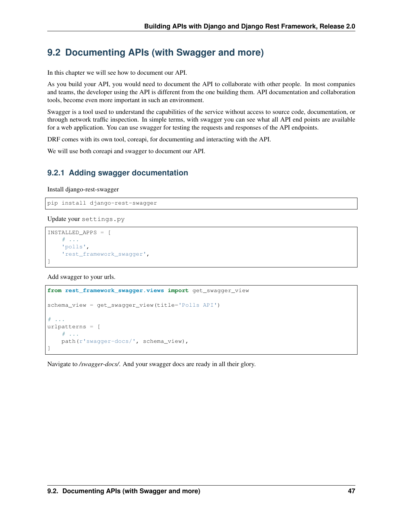## <span id="page-50-0"></span>**9.2 Documenting APIs (with Swagger and more)**

In this chapter we will see how to document our API.

As you build your API, you would need to document the API to collaborate with other people. In most companies and teams, the developer using the API is different from the one building them. API documentation and collaboration tools, become even more important in such an environment.

Swagger is a tool used to understand the capabilities of the service without access to source code, documentation, or through network traffic inspection. In simple terms, with swagger you can see what all API end points are available for a web application. You can use swagger for testing the requests and responses of the API endpoints.

DRF comes with its own tool, coreapi, for documenting and interacting with the API.

We will use both coreapi and swagger to document our API.

#### **9.2.1 Adding swagger documentation**

Install django-rest-swagger

pip install django-rest-swagger

Update your settings.py

```
INSTALLED_APPS = [
    # ...
    'polls',
    'rest_framework_swagger',
]
```
Add swagger to your urls.

```
from rest_framework_swagger.views import get_swagger_view
schema_view = get_swagger_view(title='Polls API')
# . . .
urlpatterns = [
    # ...
    path(r'swagger-docs/', schema_view),
]
```
Navigate to */swagger-docs/*. And your swagger docs are ready in all their glory.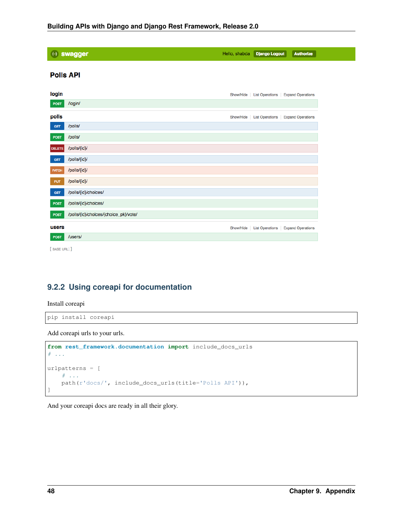| (+) swagger      |                                       | Hello, shabda | <b>Django Logout</b>   | <b>Authorize</b>         |
|------------------|---------------------------------------|---------------|------------------------|--------------------------|
| <b>Polls API</b> |                                       |               |                        |                          |
| login            |                                       | Show/Hide     | <b>List Operations</b> | <b>Expand Operations</b> |
| POST             | /login/                               |               |                        |                          |
| polls            |                                       | Show/Hide     | <b>List Operations</b> | <b>Expand Operations</b> |
| <b>GET</b>       | /polls/                               |               |                        |                          |
| <b>POST</b>      | /polls/                               |               |                        |                          |
| <b>DELETE</b>    | /polls/{id}/                          |               |                        |                          |
| <b>GET</b>       | /polls/{id}/                          |               |                        |                          |
| PATCH            | /polls/{id}/                          |               |                        |                          |
| <b>PUT</b>       | /polls/{id}/                          |               |                        |                          |
| <b>GET</b>       | /polls/{id}/choices/                  |               |                        |                          |
| <b>POST</b>      | /polls/{id}/choices/                  |               |                        |                          |
| <b>POST</b>      | /polls/{id}/choices/{choice_pk}/vote/ |               |                        |                          |
| users            |                                       | Show/Hide     | <b>List Operations</b> | <b>Expand Operations</b> |
| <b>POST</b>      | /users/                               |               |                        |                          |
| [BASE URL: ]     |                                       |               |                        |                          |

#### **9.2.2 Using coreapi for documentation**

Install coreapi

pip install coreapi

Add coreapi urls to your urls.

```
from rest_framework.documentation import include_docs_urls
# ...
urlpatterns = [
   # ...
   path(r'docs/', include_docs_urls(title='Polls API')),
]
```
And your coreapi docs are ready in all their glory.